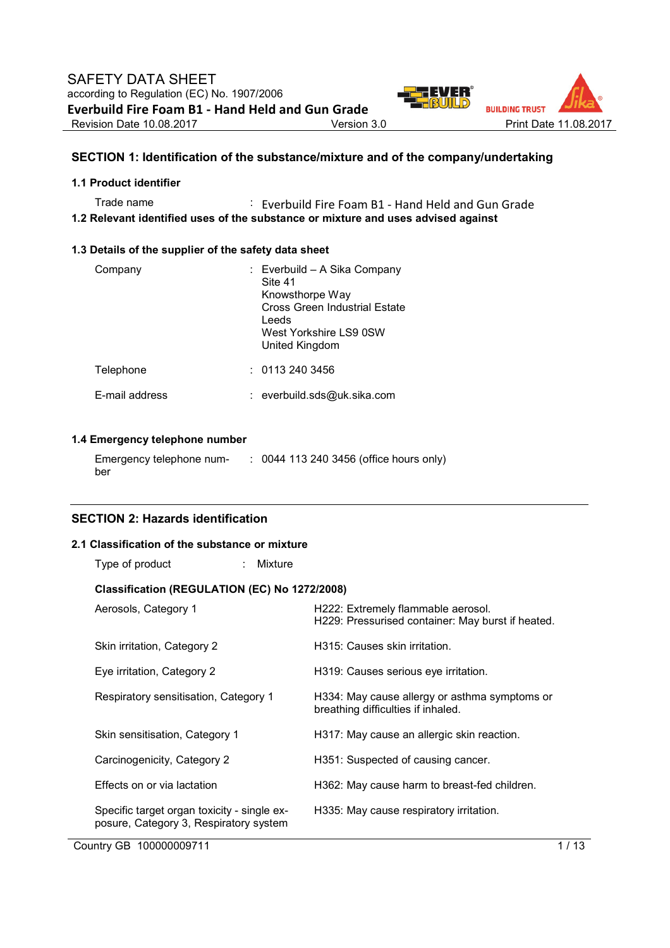

# **SECTION 1: Identification of the substance/mixture and of the company/undertaking**

## **1.1 Product identifier**

Trade name : Everbuild Fire Foam B1 - Hand Held and Gun Grade **1.2 Relevant identified uses of the substance or mixture and uses advised against** 

#### **1.3 Details of the supplier of the safety data sheet**

| Company        | : Everbuild - A Sika Company<br>Site 41<br>Knowsthorpe Way<br>Cross Green Industrial Estate<br>Leeds<br>West Yorkshire LS9 0SW<br>United Kingdom |
|----------------|--------------------------------------------------------------------------------------------------------------------------------------------------|
| Telephone      | : 01132403456                                                                                                                                    |
| F-mail address | : everbuild.sds@uk.sika.com                                                                                                                      |

# **1.4 Emergency telephone number**

| Emergency telephone num- | : 0044 113 240 3456 (office hours only) |
|--------------------------|-----------------------------------------|
| ber                      |                                         |

# **SECTION 2: Hazards identification**

## **2.1 Classification of the substance or mixture**

| Type of product                                                                       | : Mixture |                                                                                         |
|---------------------------------------------------------------------------------------|-----------|-----------------------------------------------------------------------------------------|
| Classification (REGULATION (EC) No 1272/2008)                                         |           |                                                                                         |
| Aerosols, Category 1                                                                  |           | H222: Extremely flammable aerosol.<br>H229: Pressurised container: May burst if heated. |
| Skin irritation, Category 2                                                           |           | H315: Causes skin irritation.                                                           |
| Eye irritation, Category 2                                                            |           | H319: Causes serious eye irritation.                                                    |
| Respiratory sensitisation, Category 1                                                 |           | H334: May cause allergy or asthma symptoms or<br>breathing difficulties if inhaled.     |
| Skin sensitisation, Category 1                                                        |           | H317: May cause an allergic skin reaction.                                              |
| Carcinogenicity, Category 2                                                           |           | H351: Suspected of causing cancer.                                                      |
| Effects on or via lactation                                                           |           | H362: May cause harm to breast-fed children.                                            |
| Specific target organ toxicity - single ex-<br>posure, Category 3, Respiratory system |           | H335: May cause respiratory irritation.                                                 |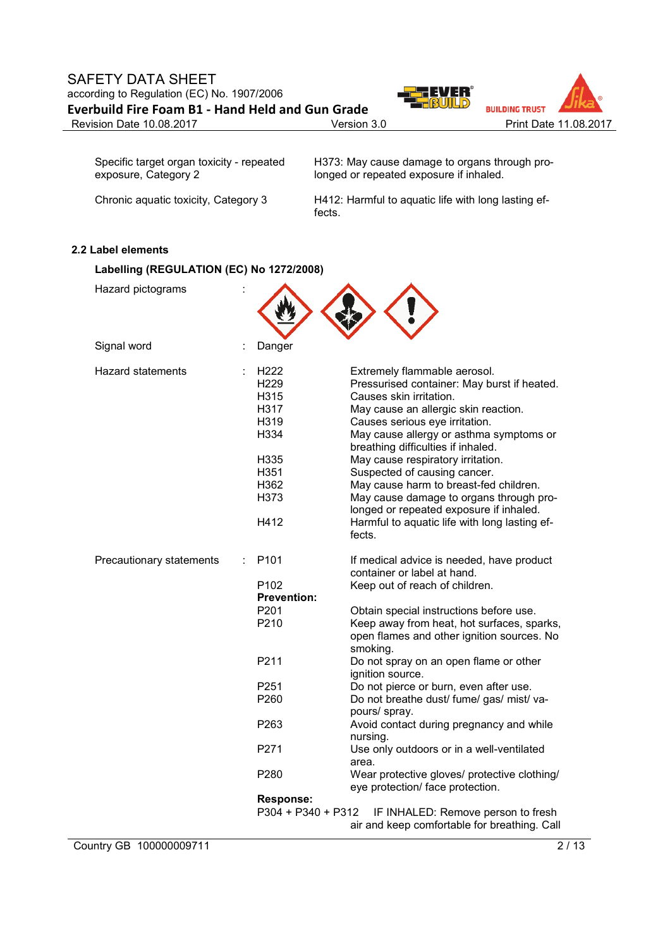# SAFETY DATA SHEET according to Regulation (EC) No. 1907/2006 **Everbuild Fire Foam B1 - Hand Held and Gun Grade**



| Specific target organ toxicity - repeated | H373: May cause damage to organs through pro- |
|-------------------------------------------|-----------------------------------------------|
| exposure, Category 2                      | longed or repeated exposure if inhaled.       |
|                                           |                                               |

Chronic aquatic toxicity, Category 3 H412: Harmful to aquatic life with long lasting effects.

# **2.2 Label elements**

| Labelling (REGULATION (EC) No 1272/2008) |   |                                                                                                  |                                                                                                                                                                                                                                                                                                                                                                                                                                                                                                                                   |  |
|------------------------------------------|---|--------------------------------------------------------------------------------------------------|-----------------------------------------------------------------------------------------------------------------------------------------------------------------------------------------------------------------------------------------------------------------------------------------------------------------------------------------------------------------------------------------------------------------------------------------------------------------------------------------------------------------------------------|--|
| Hazard pictograms                        |   |                                                                                                  |                                                                                                                                                                                                                                                                                                                                                                                                                                                                                                                                   |  |
| Signal word                              | t | Danger                                                                                           |                                                                                                                                                                                                                                                                                                                                                                                                                                                                                                                                   |  |
| <b>Hazard statements</b>                 |   | H222<br>H <sub>229</sub><br>H315<br>H317<br>H319<br>H334<br>H335<br>H351<br>H362<br>H373<br>H412 | Extremely flammable aerosol.<br>Pressurised container: May burst if heated.<br>Causes skin irritation.<br>May cause an allergic skin reaction.<br>Causes serious eye irritation.<br>May cause allergy or asthma symptoms or<br>breathing difficulties if inhaled.<br>May cause respiratory irritation.<br>Suspected of causing cancer.<br>May cause harm to breast-fed children.<br>May cause damage to organs through pro-<br>longed or repeated exposure if inhaled.<br>Harmful to aquatic life with long lasting ef-<br>fects. |  |
| Precautionary statements                 |   | P <sub>101</sub>                                                                                 | If medical advice is needed, have product<br>container or label at hand.                                                                                                                                                                                                                                                                                                                                                                                                                                                          |  |
|                                          |   | P <sub>102</sub><br><b>Prevention:</b>                                                           | Keep out of reach of children.                                                                                                                                                                                                                                                                                                                                                                                                                                                                                                    |  |
|                                          |   | P <sub>201</sub>                                                                                 | Obtain special instructions before use.                                                                                                                                                                                                                                                                                                                                                                                                                                                                                           |  |
|                                          |   | P210                                                                                             | Keep away from heat, hot surfaces, sparks,<br>open flames and other ignition sources. No<br>smoking.                                                                                                                                                                                                                                                                                                                                                                                                                              |  |
|                                          |   | P211                                                                                             | Do not spray on an open flame or other<br>ignition source.                                                                                                                                                                                                                                                                                                                                                                                                                                                                        |  |
|                                          |   | P251                                                                                             | Do not pierce or burn, even after use.                                                                                                                                                                                                                                                                                                                                                                                                                                                                                            |  |
|                                          |   | P260                                                                                             | Do not breathe dust/ fume/ gas/ mist/ va-<br>pours/ spray.                                                                                                                                                                                                                                                                                                                                                                                                                                                                        |  |
|                                          |   | P <sub>263</sub>                                                                                 | Avoid contact during pregnancy and while<br>nursing.                                                                                                                                                                                                                                                                                                                                                                                                                                                                              |  |
|                                          |   | P271                                                                                             | Use only outdoors or in a well-ventilated<br>area.                                                                                                                                                                                                                                                                                                                                                                                                                                                                                |  |
|                                          |   | P <sub>280</sub>                                                                                 | Wear protective gloves/ protective clothing/<br>eye protection/ face protection.                                                                                                                                                                                                                                                                                                                                                                                                                                                  |  |
|                                          |   | Response:                                                                                        |                                                                                                                                                                                                                                                                                                                                                                                                                                                                                                                                   |  |
|                                          |   | P304 + P340 + P312                                                                               | IF INHALED: Remove person to fresh<br>air and keep comfortable for breathing. Call                                                                                                                                                                                                                                                                                                                                                                                                                                                |  |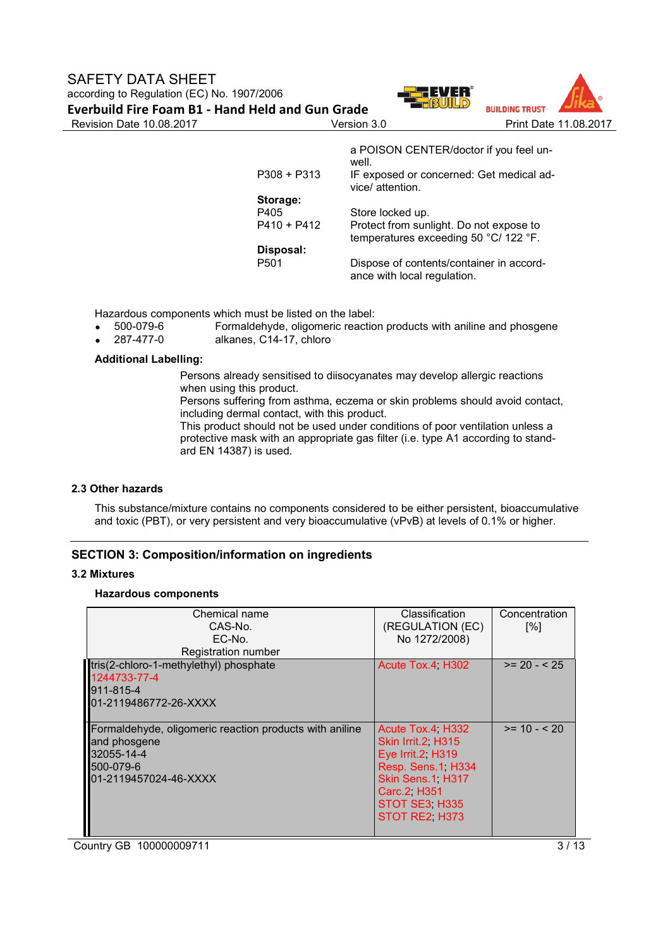

|             | a POISON CENTER/doctor if you feel un-<br>well.                                  |
|-------------|----------------------------------------------------------------------------------|
| P308 + P313 | IF exposed or concerned: Get medical ad-<br>vice/ attention.                     |
| Storage:    |                                                                                  |
| P405        | Store locked up.                                                                 |
| P410 + P412 | Protect from sunlight. Do not expose to<br>temperatures exceeding 50 °C/ 122 °F. |
| Disposal:   |                                                                                  |
| P501        | Dispose of contents/container in accord-<br>ance with local regulation.          |

Hazardous components which must be listed on the label:<br>• 500-079-6 Formaldehyde, oligomeric reactio

- Formaldehyde, oligomeric reaction products with aniline and phosgene
- 287-477-0 alkanes, C14-17, chloro

## **Additional Labelling:**

Persons already sensitised to diisocyanates may develop allergic reactions when using this product.

Persons suffering from asthma, eczema or skin problems should avoid contact, including dermal contact, with this product.

This product should not be used under conditions of poor ventilation unless a protective mask with an appropriate gas filter (i.e. type A1 according to standard EN 14387) is used.

# **2.3 Other hazards**

This substance/mixture contains no components considered to be either persistent, bioaccumulative and toxic (PBT), or very persistent and very bioaccumulative (vPvB) at levels of 0.1% or higher.

# **SECTION 3: Composition/information on ingredients**

#### **3.2 Mixtures**

#### **Hazardous components**

| Chemical name<br>CAS-No.<br>EC-No.<br>Registration number                                                                   | Classification<br>(REGULATION (EC)<br>No 1272/2008)                                                                                                   | Concentration<br>[%] |
|-----------------------------------------------------------------------------------------------------------------------------|-------------------------------------------------------------------------------------------------------------------------------------------------------|----------------------|
| tris(2-chloro-1-methylethyl) phosphate<br>1244733-77-4<br>911-815-4<br>01-2119486772-26-XXXX                                | Acute Tox.4 H302                                                                                                                                      | $>= 20 - 525$        |
| Formaldehyde, oligomeric reaction products with aniline<br>and phosgene<br>32055-14-4<br>500-079-6<br>01-2119457024-46-XXXX | Acute Tox.4 H332<br>Skin Irrit.2 H315<br>Eye Irrit.2 H319<br>Resp. Sens.1, H334<br>Skin Sens.1 H317<br>Carc.2 H351<br>STOT SE3 H335<br>STOT RE2, H373 | $>= 10 - 520$        |

Country GB 100000009711 3/13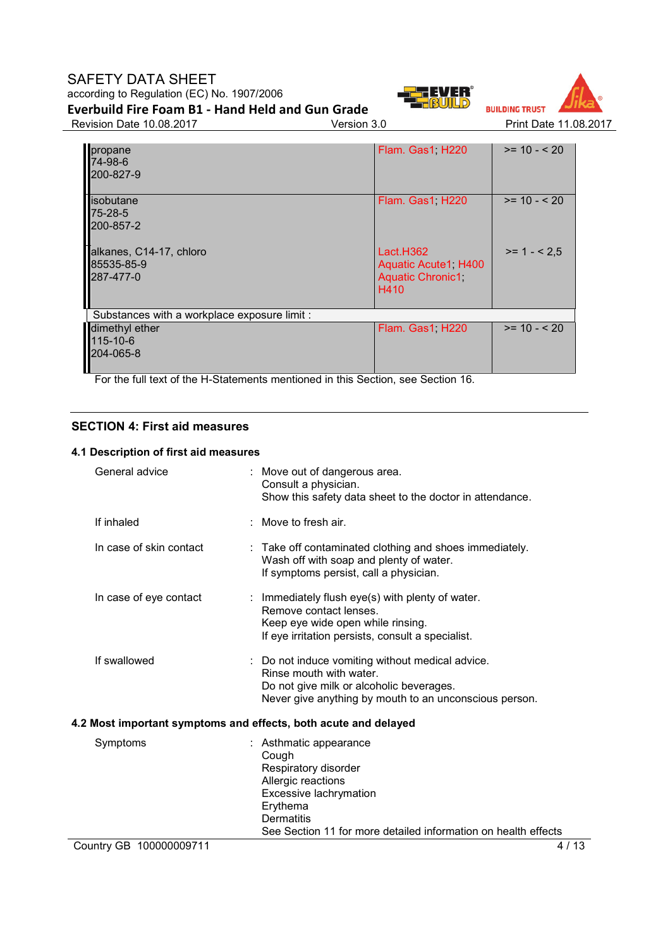# SAFETY DATA SHEET according to Regulation (EC) No. 1907/2006 **Everbuild Fire Foam B1 - Hand Held and Gun Grade**





Revision Date 10.08.2017 Version 3.0 Print Date 11.08.2017

| propane<br>74-98-6<br>200-827-9                    | Flam. Gas1, H220                                                     | $>= 10 - 520$ |
|----------------------------------------------------|----------------------------------------------------------------------|---------------|
| lisobutane<br>75-28-5<br>200-857-2                 | Flam. Gas1, H220                                                     | $>= 10 - 520$ |
| alkanes, C14-17, chloro<br>85535-85-9<br>287-477-0 | Lact.H362<br>Aquatic Acute1, H400<br><b>Aquatic Chronic1</b><br>H410 | $>= 1 - 2.5$  |
| Substances with a workplace exposure limit :       |                                                                      |               |
| dimethyl ether<br>115-10-6<br>204-065-8            | Flam. Gas1, H220                                                     | $>= 10 - 520$ |

For the full text of the H-Statements mentioned in this Section, see Section 16.

# **SECTION 4: First aid measures**

# **4.1 Description of first aid measures**

| General advice                                                  | : Move out of dangerous area.<br>Consult a physician.<br>Show this safety data sheet to the doctor in attendance.                                                                                          |  |  |
|-----------------------------------------------------------------|------------------------------------------------------------------------------------------------------------------------------------------------------------------------------------------------------------|--|--|
| If inhaled                                                      | : Move to fresh air.                                                                                                                                                                                       |  |  |
| In case of skin contact                                         | : Take off contaminated clothing and shoes immediately.<br>Wash off with soap and plenty of water.<br>If symptoms persist, call a physician.                                                               |  |  |
| In case of eye contact                                          | : Immediately flush eye(s) with plenty of water.<br>Remove contact lenses.<br>Keep eye wide open while rinsing.<br>If eye irritation persists, consult a specialist.                                       |  |  |
| If swallowed                                                    | : Do not induce vomiting without medical advice.<br>Rinse mouth with water.<br>Do not give milk or alcoholic beverages.<br>Never give anything by mouth to an unconscious person.                          |  |  |
| 4.2 Most important symptoms and effects, both acute and delayed |                                                                                                                                                                                                            |  |  |
| Symptoms                                                        | : Asthmatic appearance<br>Cough<br>Respiratory disorder<br>Allergic reactions<br>Excessive lachrymation<br>Erythema<br><b>Dermatitis</b><br>See Section 11 for more detailed information on health effects |  |  |
| Country GB 100000009711                                         | 4 / 13                                                                                                                                                                                                     |  |  |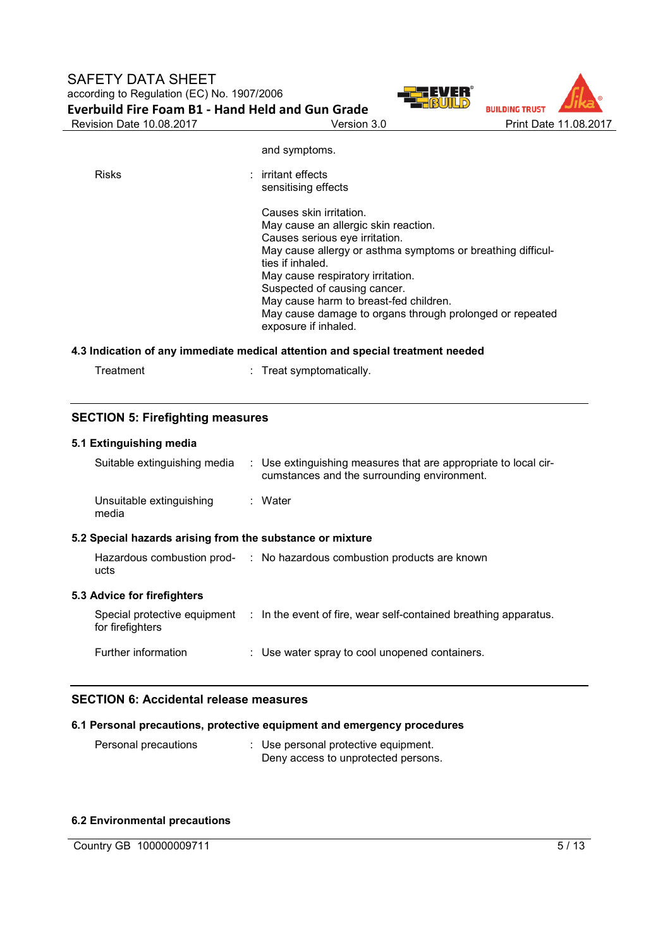



| <b>Risks</b> | $:$ irritant effects<br>sensitising effects                                                                                                                                                                                                                                                                                                                                             |
|--------------|-----------------------------------------------------------------------------------------------------------------------------------------------------------------------------------------------------------------------------------------------------------------------------------------------------------------------------------------------------------------------------------------|
|              | Causes skin irritation.<br>May cause an allergic skin reaction.<br>Causes serious eye irritation.<br>May cause allergy or asthma symptoms or breathing difficul-<br>ties if inhaled.<br>May cause respiratory irritation.<br>Suspected of causing cancer.<br>May cause harm to breast-fed children.<br>May cause damage to organs through prolonged or repeated<br>exposure if inhaled. |

and symptoms.

# **4.3 Indication of any immediate medical attention and special treatment needed**

Treatment : Treat symptomatically.

# **SECTION 5: Firefighting measures**

|                                                           | 5.1 Extinguishing media           |  |                                                                                                                |  |
|-----------------------------------------------------------|-----------------------------------|--|----------------------------------------------------------------------------------------------------------------|--|
|                                                           | Suitable extinguishing media      |  | : Use extinguishing measures that are appropriate to local cir-<br>cumstances and the surrounding environment. |  |
|                                                           | Unsuitable extinguishing<br>media |  | : Water                                                                                                        |  |
| 5.2 Special hazards arising from the substance or mixture |                                   |  |                                                                                                                |  |
|                                                           | ucts                              |  | Hazardous combustion prod- : No hazardous combustion products are known                                        |  |
|                                                           | 5.3 Advice for firefighters       |  |                                                                                                                |  |
|                                                           | for firefighters                  |  | Special protective equipment : In the event of fire, wear self-contained breathing apparatus.                  |  |
|                                                           | Further information               |  | : Use water spray to cool unopened containers.                                                                 |  |

# **SECTION 6: Accidental release measures**

# **6.1 Personal precautions, protective equipment and emergency procedures**

Personal precautions : Use personal protective equipment. Deny access to unprotected persons.

# **6.2 Environmental precautions**

Country GB 100000009711 5/13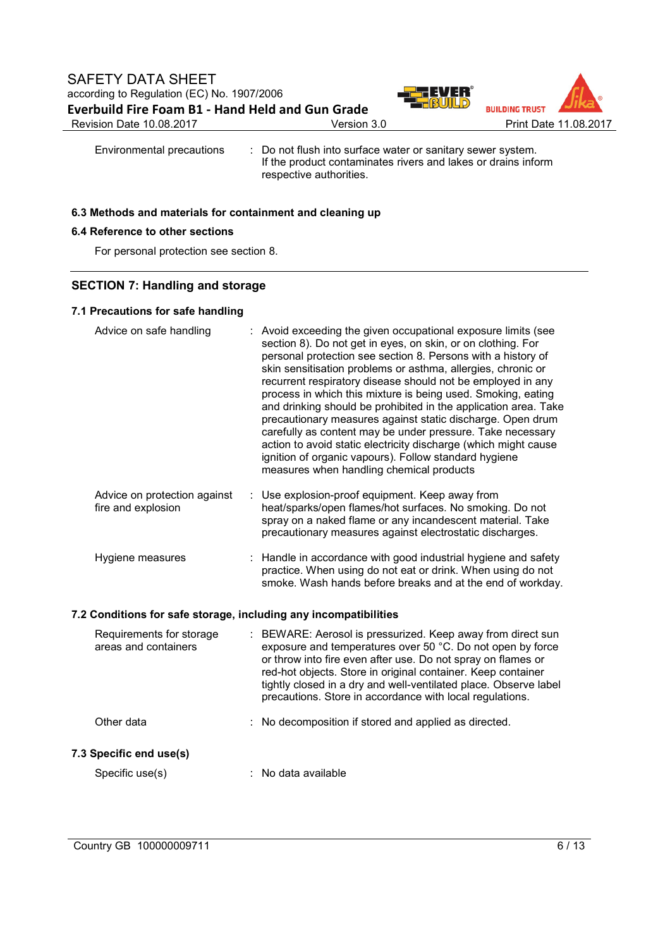

Environmental precautions : Do not flush into surface water or sanitary sewer system. If the product contaminates rivers and lakes or drains inform respective authorities.

## **6.3 Methods and materials for containment and cleaning up**

# **6.4 Reference to other sections**

For personal protection see section 8.

# **SECTION 7: Handling and storage**

# **7.1 Precautions for safe handling**

|                                                                  | Advice on safe handling                            |  | : Avoid exceeding the given occupational exposure limits (see<br>section 8). Do not get in eyes, on skin, or on clothing. For<br>personal protection see section 8. Persons with a history of<br>skin sensitisation problems or asthma, allergies, chronic or<br>recurrent respiratory disease should not be employed in any<br>process in which this mixture is being used. Smoking, eating<br>and drinking should be prohibited in the application area. Take<br>precautionary measures against static discharge. Open drum<br>carefully as content may be under pressure. Take necessary<br>action to avoid static electricity discharge (which might cause<br>ignition of organic vapours). Follow standard hygiene<br>measures when handling chemical products |  |
|------------------------------------------------------------------|----------------------------------------------------|--|---------------------------------------------------------------------------------------------------------------------------------------------------------------------------------------------------------------------------------------------------------------------------------------------------------------------------------------------------------------------------------------------------------------------------------------------------------------------------------------------------------------------------------------------------------------------------------------------------------------------------------------------------------------------------------------------------------------------------------------------------------------------|--|
|                                                                  | Advice on protection against<br>fire and explosion |  | : Use explosion-proof equipment. Keep away from<br>heat/sparks/open flames/hot surfaces. No smoking. Do not<br>spray on a naked flame or any incandescent material. Take<br>precautionary measures against electrostatic discharges.                                                                                                                                                                                                                                                                                                                                                                                                                                                                                                                                |  |
|                                                                  | Hygiene measures                                   |  | : Handle in accordance with good industrial hygiene and safety<br>practice. When using do not eat or drink. When using do not<br>smoke. Wash hands before breaks and at the end of workday.                                                                                                                                                                                                                                                                                                                                                                                                                                                                                                                                                                         |  |
| 7.2 Conditions for safe storage, including any incompatibilities |                                                    |  |                                                                                                                                                                                                                                                                                                                                                                                                                                                                                                                                                                                                                                                                                                                                                                     |  |
|                                                                  | Requirements for storage<br>areas and containers   |  | : BEWARE: Aerosol is pressurized. Keep away from direct sun<br>exposure and temperatures over 50 °C. Do not open by force<br>or throw into fire even after use. Do not spray on flames or<br>red-hot objects. Store in original container. Keep container<br>tightly closed in a dry and well-ventilated place. Observe label<br>precautions. Store in accordance with local regulations.                                                                                                                                                                                                                                                                                                                                                                           |  |
|                                                                  | Other data                                         |  | : No decomposition if stored and applied as directed.                                                                                                                                                                                                                                                                                                                                                                                                                                                                                                                                                                                                                                                                                                               |  |
|                                                                  | 7.3 Specific end use(s)                            |  |                                                                                                                                                                                                                                                                                                                                                                                                                                                                                                                                                                                                                                                                                                                                                                     |  |
|                                                                  | Specific use(s)                                    |  | : No data available                                                                                                                                                                                                                                                                                                                                                                                                                                                                                                                                                                                                                                                                                                                                                 |  |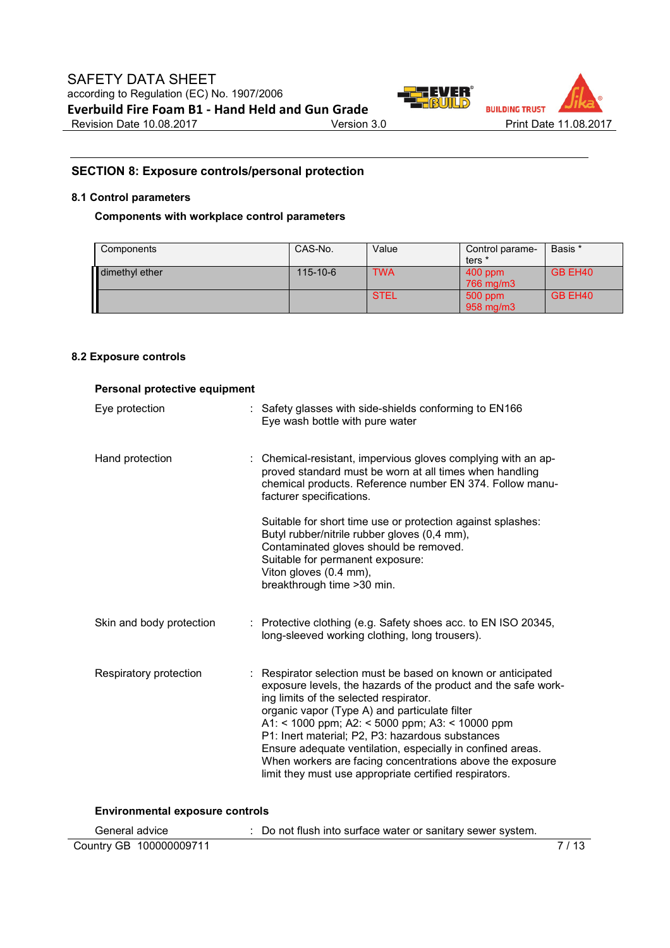

# **SECTION 8: Exposure controls/personal protection**

## **8.1 Control parameters**

# **Components with workplace control parameters**

| Components     | CAS-No.        | Value       | Control parame- | Basis * |
|----------------|----------------|-------------|-----------------|---------|
|                |                |             | ters *          |         |
| dimethyl ether | $115 - 10 - 6$ | <b>TWA</b>  | $400$ ppm       | GB EH40 |
|                |                |             | 766 mg/m3       |         |
|                |                | <b>STEL</b> | 500 ppm         | GB EH40 |
|                |                |             | 958 mg/m3       |         |

# **8.2 Exposure controls**

| Personal protective equipment          |                                                                                                                                                                                                                                                                                                                                                                                                                                                                                                                       |  |  |
|----------------------------------------|-----------------------------------------------------------------------------------------------------------------------------------------------------------------------------------------------------------------------------------------------------------------------------------------------------------------------------------------------------------------------------------------------------------------------------------------------------------------------------------------------------------------------|--|--|
| Eye protection                         | : Safety glasses with side-shields conforming to EN166<br>Eye wash bottle with pure water                                                                                                                                                                                                                                                                                                                                                                                                                             |  |  |
| Hand protection                        | Chemical-resistant, impervious gloves complying with an ap-<br>proved standard must be worn at all times when handling<br>chemical products. Reference number EN 374. Follow manu-<br>facturer specifications.                                                                                                                                                                                                                                                                                                        |  |  |
|                                        | Suitable for short time use or protection against splashes:<br>Butyl rubber/nitrile rubber gloves (0,4 mm),<br>Contaminated gloves should be removed.<br>Suitable for permanent exposure:<br>Viton gloves (0.4 mm),<br>breakthrough time > 30 min.                                                                                                                                                                                                                                                                    |  |  |
| Skin and body protection               | : Protective clothing (e.g. Safety shoes acc. to EN ISO 20345,<br>long-sleeved working clothing, long trousers).                                                                                                                                                                                                                                                                                                                                                                                                      |  |  |
| Respiratory protection                 | : Respirator selection must be based on known or anticipated<br>exposure levels, the hazards of the product and the safe work-<br>ing limits of the selected respirator.<br>organic vapor (Type A) and particulate filter<br>A1: < 1000 ppm; A2: < 5000 ppm; A3: < 10000 ppm<br>P1: Inert material; P2, P3: hazardous substances<br>Ensure adequate ventilation, especially in confined areas.<br>When workers are facing concentrations above the exposure<br>limit they must use appropriate certified respirators. |  |  |
| <b>Environmental exposure controls</b> |                                                                                                                                                                                                                                                                                                                                                                                                                                                                                                                       |  |  |

| General advice          | : Do not flush into surface water or sanitary sewer system. |      |
|-------------------------|-------------------------------------------------------------|------|
| Country GB 100000009711 |                                                             | 7/13 |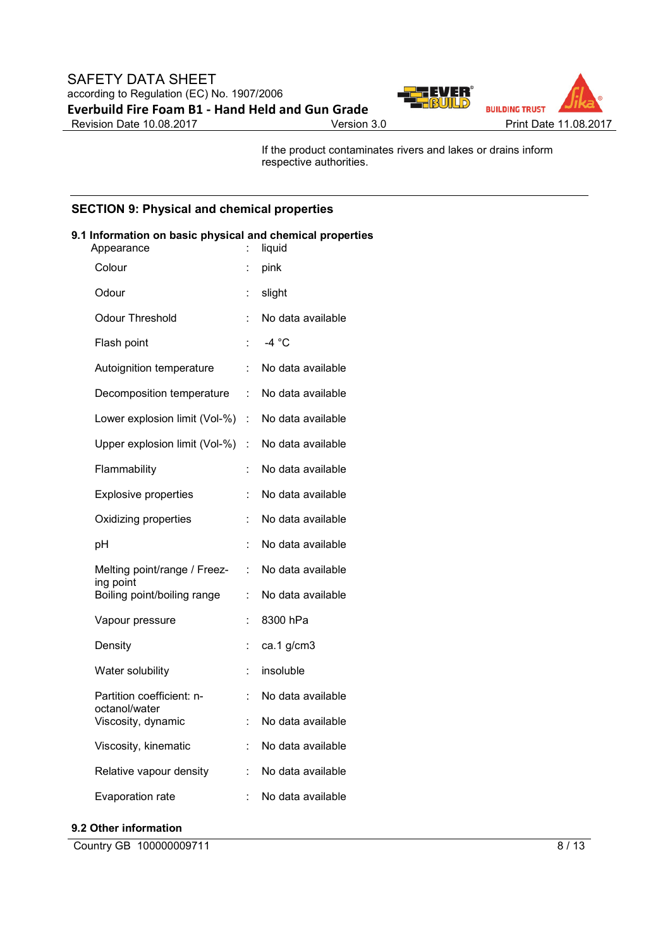

If the product contaminates rivers and lakes or drains inform respective authorities.

# **SECTION 9: Physical and chemical properties**

| 9.1 Information on basic physical and chemical properties<br>Appearance | ÷. | liquid              |
|-------------------------------------------------------------------------|----|---------------------|
| Colour                                                                  | t. | pink                |
| Odour                                                                   | t. | slight              |
| Odour Threshold                                                         |    | No data available   |
| Flash point                                                             | t. | $-4 °C$             |
| Autoignition temperature                                                |    | : No data available |
| Decomposition temperature : No data available                           |    |                     |
| Lower explosion limit (Vol-%) : No data available                       |    |                     |
| Upper explosion limit (Vol-%)                                           |    | : No data available |
| Flammability                                                            | ÷. | No data available   |
| <b>Explosive properties</b>                                             | t. | No data available   |
| Oxidizing properties                                                    |    | No data available   |
| pH                                                                      |    | No data available   |
| Melting point/range / Freez-                                            | t. | No data available   |
| ing point<br>Boiling point/boiling range                                | t. | No data available   |
| Vapour pressure                                                         | t. | 8300 hPa            |
| Density                                                                 | t  | ca.1 g/cm3          |
| Water solubility                                                        | t. | insoluble           |
| Partition coefficient: n-                                               | t. | No data available   |
| octanol/water<br>Viscosity, dynamic                                     | t. | No data available   |
| Viscosity, kinematic                                                    | t  | No data available   |
| Relative vapour density                                                 | t. | No data available   |
| Evaporation rate                                                        | t. | No data available   |

#### **9.2 Other information**

Country GB 100000009711 8/13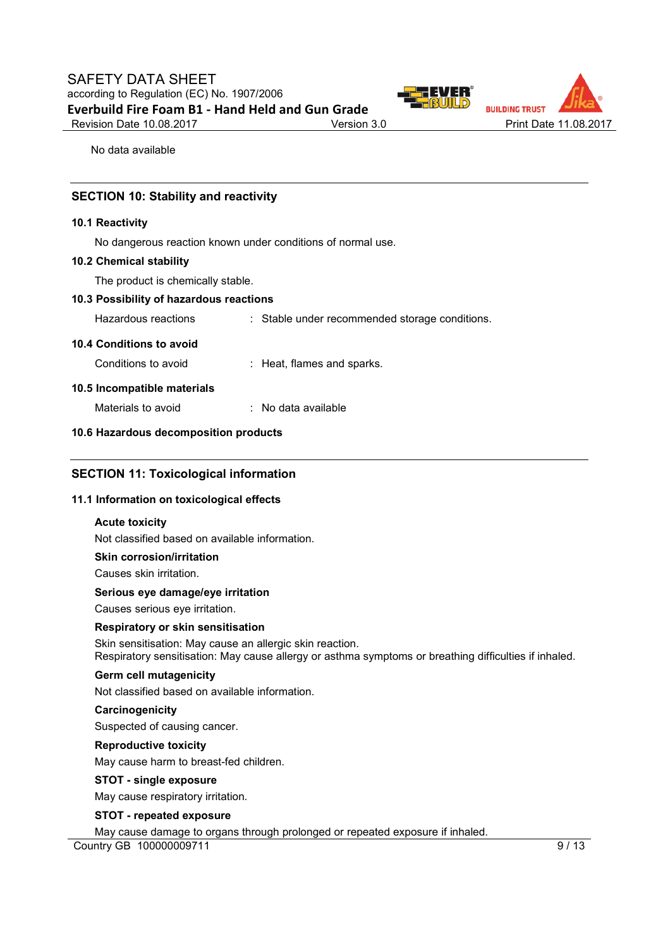

No data available

## **SECTION 10: Stability and reactivity**

#### **10.1 Reactivity**

No dangerous reaction known under conditions of normal use.

#### **10.2 Chemical stability**

The product is chemically stable.

#### **10.3 Possibility of hazardous reactions**

Hazardous reactions : Stable under recommended storage conditions.

#### **10.4 Conditions to avoid**

Conditions to avoid : Heat, flames and sparks.

#### **10.5 Incompatible materials**

Materials to avoid : No data available

#### **10.6 Hazardous decomposition products**

# **SECTION 11: Toxicological information**

#### **11.1 Information on toxicological effects**

### **Acute toxicity**

Not classified based on available information.

#### **Skin corrosion/irritation**

Causes skin irritation.

## **Serious eye damage/eye irritation**

Causes serious eye irritation.

#### **Respiratory or skin sensitisation**

Skin sensitisation: May cause an allergic skin reaction. Respiratory sensitisation: May cause allergy or asthma symptoms or breathing difficulties if inhaled.

#### **Germ cell mutagenicity**

Not classified based on available information.

#### **Carcinogenicity**

Suspected of causing cancer.

## **Reproductive toxicity**

May cause harm to breast-fed children.

#### **STOT - single exposure**

May cause respiratory irritation.

#### **STOT - repeated exposure**

Country GB 100000009711 9/13 May cause damage to organs through prolonged or repeated exposure if inhaled.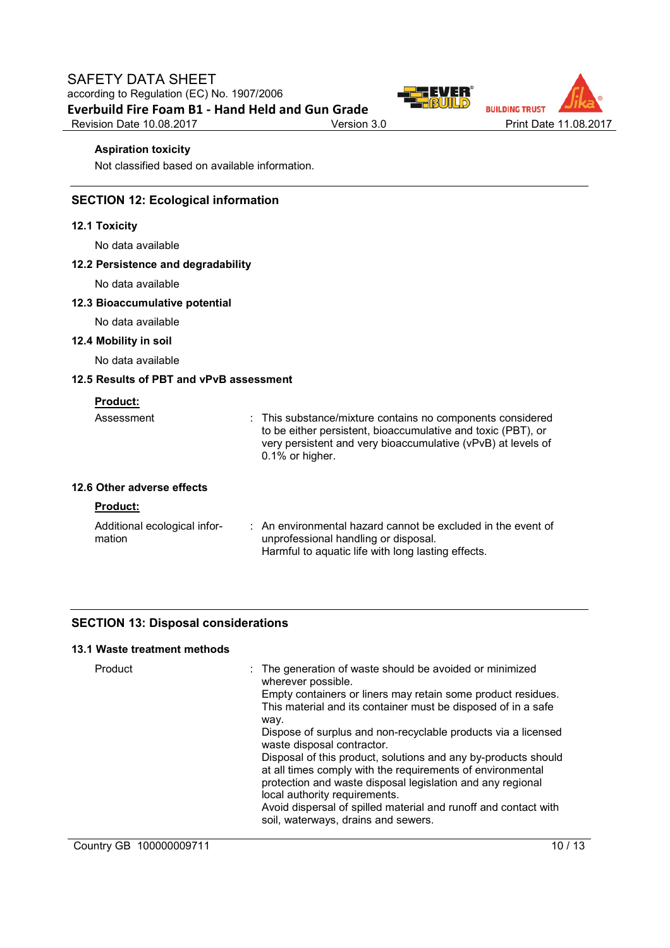



## **Aspiration toxicity**

Not classified based on available information.

# **SECTION 12: Ecological information**

#### **12.1 Toxicity**

No data available

### **12.2 Persistence and degradability**

No data available

#### **12.3 Bioaccumulative potential**

No data available

# **12.4 Mobility in soil**

No data available

# **12.5 Results of PBT and vPvB assessment**

| Assessment                 | : This substance/mixture contains no components considered<br>to be either persistent, bioaccumulative and toxic (PBT), or<br>very persistent and very bioaccumulative (vPvB) at levels of<br>$0.1\%$ or higher. |
|----------------------------|------------------------------------------------------------------------------------------------------------------------------------------------------------------------------------------------------------------|
| 12.6 Other adverse effects |                                                                                                                                                                                                                  |

#### **Product:**

| Additional ecological infor- | : An environmental hazard cannot be excluded in the event of |
|------------------------------|--------------------------------------------------------------|
| mation                       | unprofessional handling or disposal.                         |
|                              | Harmful to aquatic life with long lasting effects.           |

# **SECTION 13: Disposal considerations**

# **13.1 Waste treatment methods**

| Product                 | : The generation of waste should be avoided or minimized<br>wherever possible.<br>Empty containers or liners may retain some product residues.<br>This material and its container must be disposed of in a safe<br>way.<br>Dispose of surplus and non-recyclable products via a licensed<br>waste disposal contractor.<br>Disposal of this product, solutions and any by-products should<br>at all times comply with the requirements of environmental<br>protection and waste disposal legislation and any regional<br>local authority requirements.<br>Avoid dispersal of spilled material and runoff and contact with<br>soil, waterways, drains and sewers. |
|-------------------------|-----------------------------------------------------------------------------------------------------------------------------------------------------------------------------------------------------------------------------------------------------------------------------------------------------------------------------------------------------------------------------------------------------------------------------------------------------------------------------------------------------------------------------------------------------------------------------------------------------------------------------------------------------------------|
| Country GB 100000009711 | 10/13                                                                                                                                                                                                                                                                                                                                                                                                                                                                                                                                                                                                                                                           |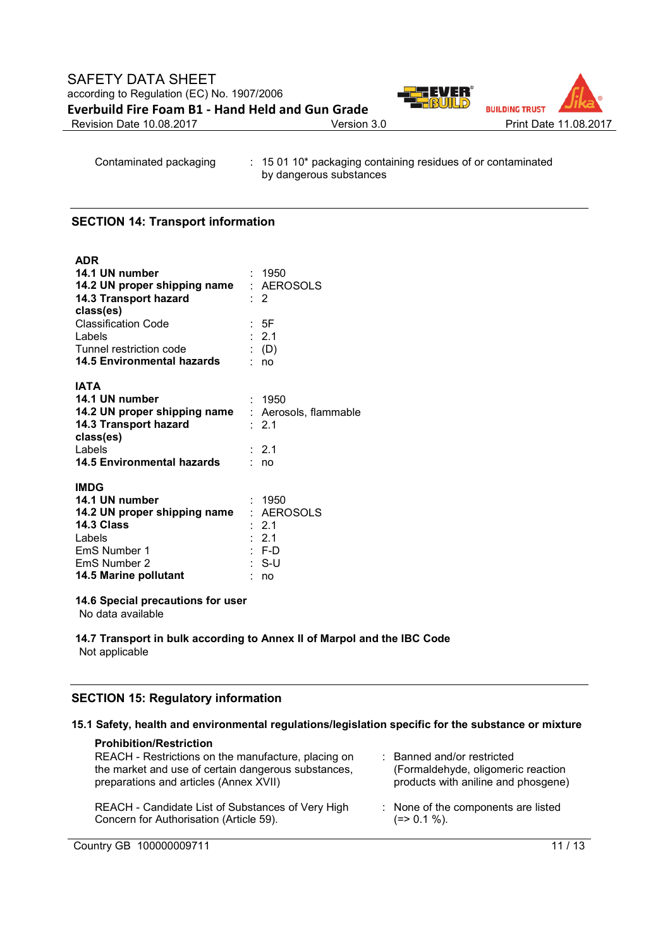

Contaminated packaging : 15 01 10\* packaging containing residues of or contaminated by dangerous substances

## **SECTION 14: Transport information**

**ADR**

| AUR                                                |                  |
|----------------------------------------------------|------------------|
| 14.1 UN number                                     | : 1950           |
| 14.2 UN proper shipping name                       | : AEROSOLS       |
| 14.3 Transport hazard                              | $\cdot$ 2        |
| class(es)                                          |                  |
| <b>Classification Code</b>                         | : 5F             |
| Labels                                             | : 2.1            |
| Tunnel restriction code                            | $\colon$ (D)     |
| 14.5 Environmental hazards                         | : no             |
|                                                    |                  |
| <b>IATA</b>                                        |                  |
| 14.1 UN number                                     | : 1950           |
| 14.2 UN proper shipping name : Aerosols, flammable |                  |
| 14.3 Transport hazard                              | $\therefore$ 2.1 |
| class(es)                                          |                  |
| Labels                                             | $\div$ 2.1       |
| 14.5 Environmental hazards                         | : no             |
| <b>IMDG</b>                                        |                  |
| 14.1 UN number                                     | : 1950           |
| 14.2 UN proper shipping name                       | : AEROSOLS       |
| 14.3 Class                                         | : 2.1            |
| Labels                                             | $\therefore$ 2.1 |
| EmS Number 1                                       | $: F-D$          |
| EmS Number 2                                       | : S-U            |
| 14.5 Marine pollutant                              | no               |

#### **14.6 Special precautions for user**

No data available

#### **14.7 Transport in bulk according to Annex II of Marpol and the IBC Code** Not applicable

# **SECTION 15: Regulatory information**

### **15.1 Safety, health and environmental regulations/legislation specific for the substance or mixture**

| <b>Prohibition/Restriction</b><br>REACH - Restrictions on the manufacture, placing on<br>the market and use of certain dangerous substances,<br>preparations and articles (Annex XVII) | : Banned and/or restricted<br>(Formaldehyde, oligomeric reaction<br>products with aniline and phosgene) |
|----------------------------------------------------------------------------------------------------------------------------------------------------------------------------------------|---------------------------------------------------------------------------------------------------------|
| REACH - Candidate List of Substances of Very High                                                                                                                                      | : None of the components are listed                                                                     |
| Concern for Authorisation (Article 59).                                                                                                                                                | $(=>0.1\%).$                                                                                            |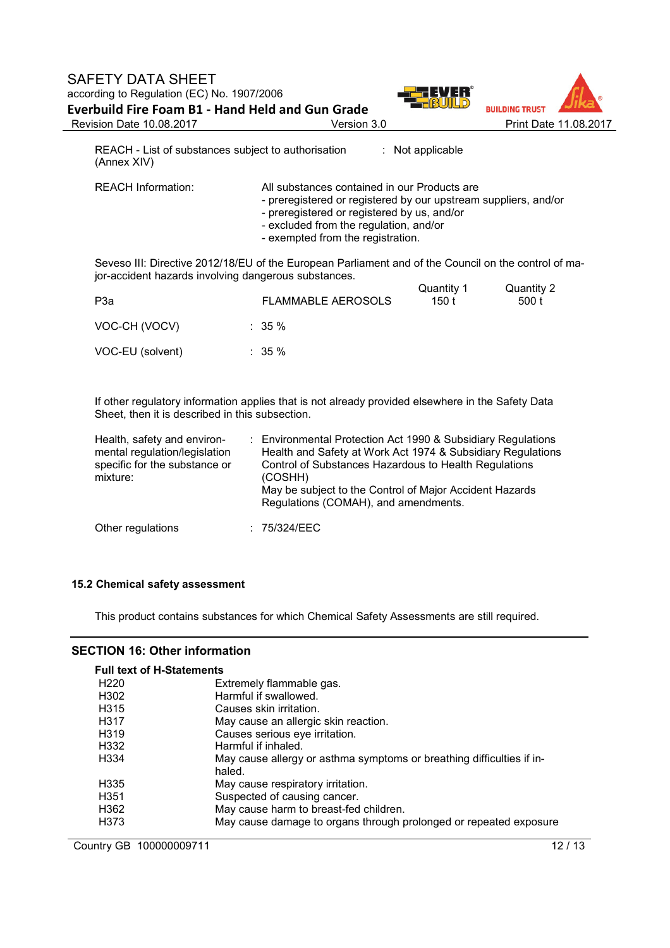

REACH - List of substances subject to authorisation : Not applicable (Annex XIV)

REACH Information: All substances contained in our Products are

- preregistered or registered by our upstream suppliers, and/or
- preregistered or registered by us, and/or
- excluded from the regulation, and/or
- exempted from the registration.

Seveso III: Directive 2012/18/EU of the European Parliament and of the Council on the control of major-accident hazards involving dangerous substances.

| P3a              | <b>FLAMMABLE AEROSOLS</b> | Quantity 1<br>150 t | Quantity 2<br>500 t |
|------------------|---------------------------|---------------------|---------------------|
| VOC-CH (VOCV)    | $\therefore$ 35 %         |                     |                     |
| VOC-EU (solvent) | $\therefore$ 35 %         |                     |                     |

If other regulatory information applies that is not already provided elsewhere in the Safety Data Sheet, then it is described in this subsection.

| Health, safety and environ-<br>mental regulation/legislation<br>specific for the substance or<br>mixture: | : Environmental Protection Act 1990 & Subsidiary Regulations<br>Health and Safety at Work Act 1974 & Subsidiary Regulations<br>Control of Substances Hazardous to Health Regulations<br>(COSHH)<br>May be subject to the Control of Major Accident Hazards<br>Regulations (COMAH), and amendments. |
|-----------------------------------------------------------------------------------------------------------|----------------------------------------------------------------------------------------------------------------------------------------------------------------------------------------------------------------------------------------------------------------------------------------------------|
| Other regulations                                                                                         | : 75/324/EEC                                                                                                                                                                                                                                                                                       |

# **15.2 Chemical safety assessment**

This product contains substances for which Chemical Safety Assessments are still required.

# **SECTION 16: Other information**

| <b>Full text of H-Statements</b> |                                                                                 |
|----------------------------------|---------------------------------------------------------------------------------|
| H <sub>220</sub>                 | Extremely flammable gas.                                                        |
| H <sub>302</sub>                 | Harmful if swallowed.                                                           |
| H <sub>315</sub>                 | Causes skin irritation.                                                         |
| H317                             | May cause an allergic skin reaction.                                            |
| H <sub>319</sub>                 | Causes serious eye irritation.                                                  |
| H332                             | Harmful if inhaled.                                                             |
| H334                             | May cause allergy or asthma symptoms or breathing difficulties if in-<br>haled. |
| H <sub>335</sub>                 | May cause respiratory irritation.                                               |
| H351                             | Suspected of causing cancer.                                                    |
| H362                             | May cause harm to breast-fed children.                                          |
| H373                             | May cause damage to organs through prolonged or repeated exposure               |